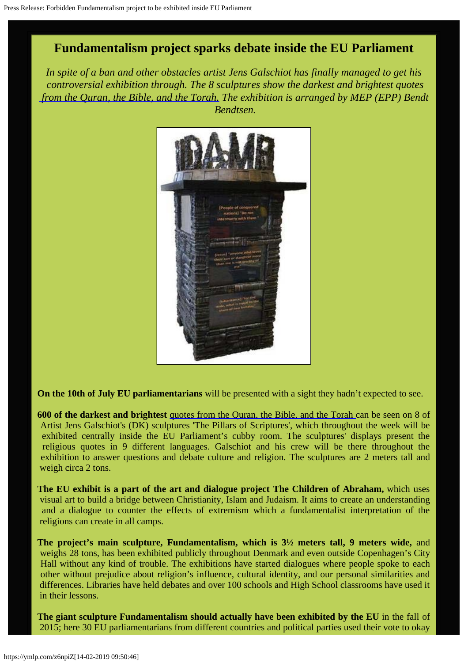# **Fundamentalism project sparks debate inside the EU Parliament**

*In spite of a ban and other obstacles artist Jens Galschiot has finally managed to get his controversial exhibition through. The 8 sculptures show [the darkest and brightest quotes](http://www.fundamentalism.dk/quotesearch/index.php?lang=GB)  [from the Quran, the Bible, and the Torah.](http://www.fundamentalism.dk/quotesearch/index.php?lang=GB) The exhibition is arranged by MEP (EPP) Bendt Bendtsen.*



**On the 10th of July EU parliamentarians** will be presented with a sight they hadn't expected to see.

**600 of the darkest and brightest** [quotes from the Quran, the Bible, and the Torah](http://www.fundamentalism.dk/quotesearch/index.php?lang=GB) can be seen on 8 of Artist Jens Galschiot's (DK) sculptures 'The Pillars of Scriptures', which throughout the week will be exhibited centrally inside the EU Parliament's cubby room. The sculptures' displays present the religious quotes in 9 different languages. Galschiot and his crew will be there throughout the exhibition to answer questions and debate culture and religion. The sculptures are 2 meters tall and weigh circa 2 tons.

**The EU exhibit is a part of the art and dialogue project [The Children of Abraham](http://fundamentalism.dk/en/),** which uses visual art to build a bridge between Christianity, Islam and Judaism. It aims to create an understanding and a dialogue to counter the effects of extremism which a fundamentalist interpretation of the religions can create in all camps.

**The project's main sculpture, Fundamentalism, which is 3½ meters tall, 9 meters wide,** and weighs 28 tons, has been exhibited publicly throughout Denmark and even outside Copenhagen's City Hall without any kind of trouble. The exhibitions have started dialogues where people spoke to each other without prejudice about religion's influence, cultural identity, and our personal similarities and differences. Libraries have held debates and over 100 schools and High School classrooms have used it in their lessons.

**The giant sculpture Fundamentalism should actually have been exhibited by the EU** in the fall of 2015; here 30 EU parliamentarians from different countries and political parties used their vote to okay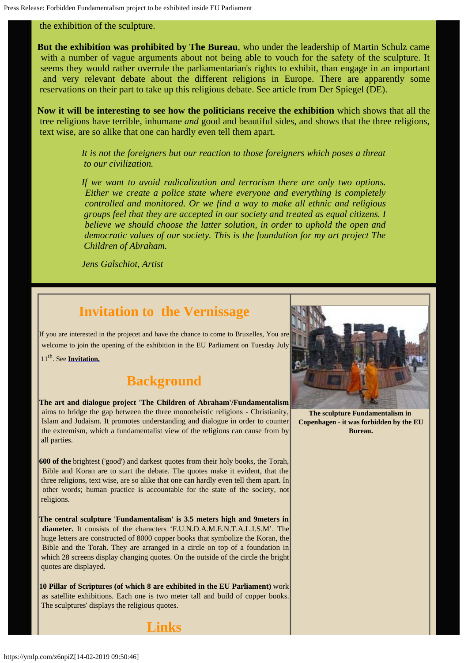#### the exhibition of the sculpture.

**But the exhibition was prohibited by The Bureau**, who under the leadership of Martin Schulz came with a number of vague arguments about not being able to vouch for the safety of the sculpture. It seems they would rather overrule the parliamentarian's rights to exhibit, than engage in an important and very relevant debate about the different religions in Europe. There are apparently some reservations on their part to take up this religious debate. [See article from Der Spiegel](http://www.spiegel.de/politik/ausland/installation-vor-europaparlament-keine-kinder-abrahams-a-1052524.html) (DE).

**Now it will be interesting to see how the politicians receive the exhibition** which shows that all the tree religions have terrible, inhumane *and* good and beautiful sides, and shows that the three religions, text wise, are so alike that one can hardly even tell them apart.

> *It is not the foreigners but our reaction to those foreigners which poses a threat to our civilization.*

> *If we want to avoid radicalization and terrorism there are only two options. Either we create a police state where everyone and everything is completely controlled and monitored. Or we find a way to make all ethnic and religious groups feel that they are accepted in our society and treated as equal citizens. I believe we should choose the latter solution, in order to uphold the open and democratic values of our society. This is the foundation for my art project The Children of Abraham.*

*Jens Galschiot, Artist*

## **Invitation to the Vernissage**

If you are interested in the projecet and have the chance to come to Bruxelles, You are welcome to join the opening of the exhibition in the EU Parliament on Tuesday July

11th. See **[Invitation.](http://www.galschiot.com/wp-content/uploads/2017/06/Invitation_EU_Parlament_Exhibition.pdf)**

## **Background**

**The art and dialogue project 'The Children of Abraham'/Fundamentalism** aims to bridge the gap between the three monotheistic religions - Christianity, Islam and Judaism. It promotes understanding and dialogue in order to counter the extremism, which a fundamentalist view of the religions can cause from by all parties.

**600 of the** brightest ('good') and darkest quotes from their holy books, the Torah, Bible and Koran are to start the debate. The quotes make it evident, that the three religions, text wise, are so alike that one can hardly even tell them apart. In other words; human practice is accountable for the state of the society, not religions.

**The central sculpture 'Fundamentalism' is 3.5 meters high and 9meters in diameter.** It consists of the characters 'F.U.N.D.A.M.E.N.T.A.L.I.S.M'. The huge letters are constructed of 8000 copper books that symbolize the Koran, the Bible and the Torah. They are arranged in a circle on top of a foundation in which 28 screens display changing quotes. On the outside of the circle the bright quotes are displayed.

**10 Pillar of Scriptures (of which 8 are exhibited in the EU Parliament)** work as satellite exhibitions. Each one is two meter tall and build of copper books. The sculptures' displays the religious quotes.





**The sculpture Fundamentalism in Copenhagen - it was forbidden by the EU Bureau.**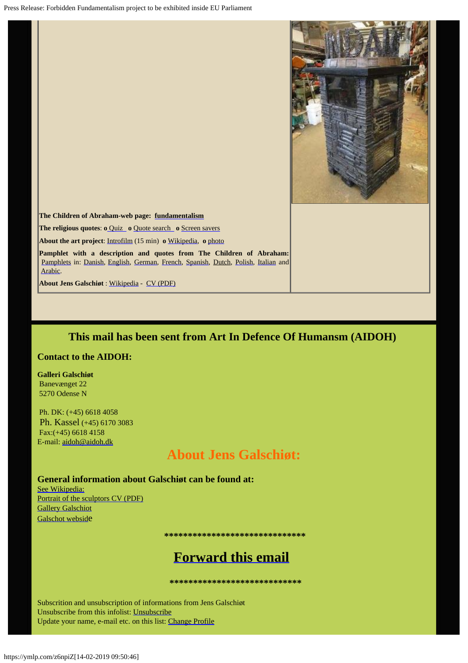

**The Children of Abraham-web page: [fundamentalism](http://www.fundamentalism.dk/en)**

**The religious quotes**: **o** [Quiz](http://www.fundamentalism.dk/quiz/en/index.php?lang=GB) **o** [Quote search](http://www.fundamentalism.dk/quotesearch/index.php?lang=GB) **o** [Screen savers](http://fundamentalism.dk/en/material/download-screensaver/)

**About the art project**: [Introfilm](https://www.youtube.com/watch?feature=player_embedded&v=FIDHCQl-_IY) (15 min) **o** [Wikipedia](http://da.wikipedia.org/wiki/Fundamentalism), **o** [photo](http://fundamentalism.dk/en/material/gallery/)

**Pamphlet with a description and quotes from The Children of Abraham:** [Pamphlets](http://fundamentalism.dk/materiale/koncept-og-dokumenter/) in: [Danish](http://fundamentalism.dk/en/wp-content/uploads/Koncepts/DK_koncept_farve_240614.pdf), [English](http://www.fundamentalism.dk/en/wp-content/uploads/Koncepts/GB_Concept_Color_200614.pdf), [German,](http://www.fundamentalism.dk/en/wp-content/uploads/Koncepts/DE_koncept_Farve_270614.pdf) [French](http://www.fundamentalism.dk/en/wp-content/uploads/Koncepts/FR_koncept_Farve_150914.pdf), [Spanish,](http://www.fundamentalism.dk/en/wp-content/uploads/Koncepts/ES_koncept_GB_citater_Farve_160914.pdf) Dutch, [Polish,](http://www.fundamentalism.dk/en/wp-content/uploads/Koncepts/PL_Koncept_GB_citater_Farve_150914.pdf) [Italian](http://www.fundamentalism.dk/en/wp-content/uploads/Koncepts/IT_Concept.pdf) and [Arabic](http://www.fundamentalism.dk/en/wp-content/uploads/Koncepts/AR_Koncept.pdf).

**About Jens Galschiøt** : [Wikipedia](http://da.wikipedia.org/wiki/Jens_Galschi%C3%B8t) - [CV \(PDF\)](http://www.aidoh.dk/new-struct/About-Jens-Galschiot/CV.pdf?utm_medium=email&utm_campaign=Fernisering+af+en+fundamentalisme-skulptur+...&utm_source=Info-liste+aidoh-YMLP&utm_term=)

### **This mail has been sent from Art In Defence Of Humansm (AIDOH)**

### **Contact to the AIDOH:**

**Galleri Galschiøt** Banevænget 22 5270 Odense N

Ph. DK: (+45) 6618 4058 Ph. Kassel (+45) 6170 3083 Fax:(+45) 6618 4158 E-mail: [aidoh@aidoh.dk](mailto:aidoh@aidoh.dk)

## **About Jens Galschiøt:**

### **General information about Galschiøt can be found at:**

[See Wikipedia:](http://en.wikipedia.org/wiki/Galschi%C3%B8t) [Portrait of the sculptors CV \(PDF\)](http://www.aidoh.dk/new-struct/About-Jens-Galschiot/CV.pdf) **[Gallery Galschiot](http://www.gallerigalschiot.dk/index_en.html)** [Galschot webside](http://www.aidoh.dk/)

 **\*\*\*\*\*\*\*\*\*\*\*\*\*\*\*\*\*\*\*\*\*\*\*\*\*\*\*\*\*\***

## **[Forward this email](https://ymlp.com/forward.php?id=6npiZ)**

**\*\*\*\*\*\*\*\*\*\*\*\*\*\*\*\*\*\*\*\*\*\*\*\*\*\*\*\***

Subscrition and unsubscription of informations from Jens Galschiøt Unsubscribe from this infolist: [Unsubscribe](https://ymlp.com/u.php?id=gbyqqyug) Update your name, e-mail etc. on this list: [Change Profile](https://ymlp.com/u.php?id=gbyqqyug)